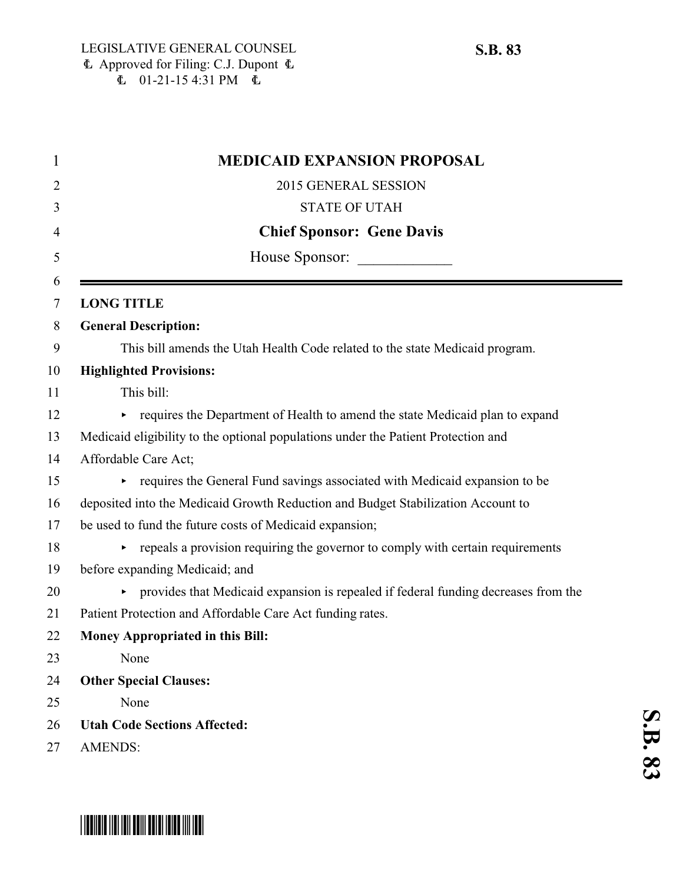$\mathbf{S}$ <br> $\mathbf{B}$ 

 <u>م</u>

| <b>MEDICAID EXPANSION PROPOSAL</b>                                                   |
|--------------------------------------------------------------------------------------|
| 2015 GENERAL SESSION                                                                 |
| <b>STATE OF UTAH</b>                                                                 |
| <b>Chief Sponsor: Gene Davis</b>                                                     |
| House Sponsor:                                                                       |
| <b>LONG TITLE</b>                                                                    |
| <b>General Description:</b>                                                          |
| This bill amends the Utah Health Code related to the state Medicaid program.         |
| <b>Highlighted Provisions:</b>                                                       |
| This bill:                                                                           |
| requires the Department of Health to amend the state Medicaid plan to expand<br>Þ.   |
| Medicaid eligibility to the optional populations under the Patient Protection and    |
| Affordable Care Act;                                                                 |
| requires the General Fund savings associated with Medicaid expansion to be           |
| deposited into the Medicaid Growth Reduction and Budget Stabilization Account to     |
| be used to fund the future costs of Medicaid expansion;                              |
| repeals a provision requiring the governor to comply with certain requirements       |
| before expanding Medicaid; and                                                       |
| • provides that Medicaid expansion is repealed if federal funding decreases from the |
| Patient Protection and Affordable Care Act funding rates.                            |
| <b>Money Appropriated in this Bill:</b>                                              |
| None                                                                                 |
| <b>Other Special Clauses:</b>                                                        |
| None                                                                                 |
| <b>Utah Code Sections Affected:</b>                                                  |
| <b>AMENDS:</b>                                                                       |
|                                                                                      |

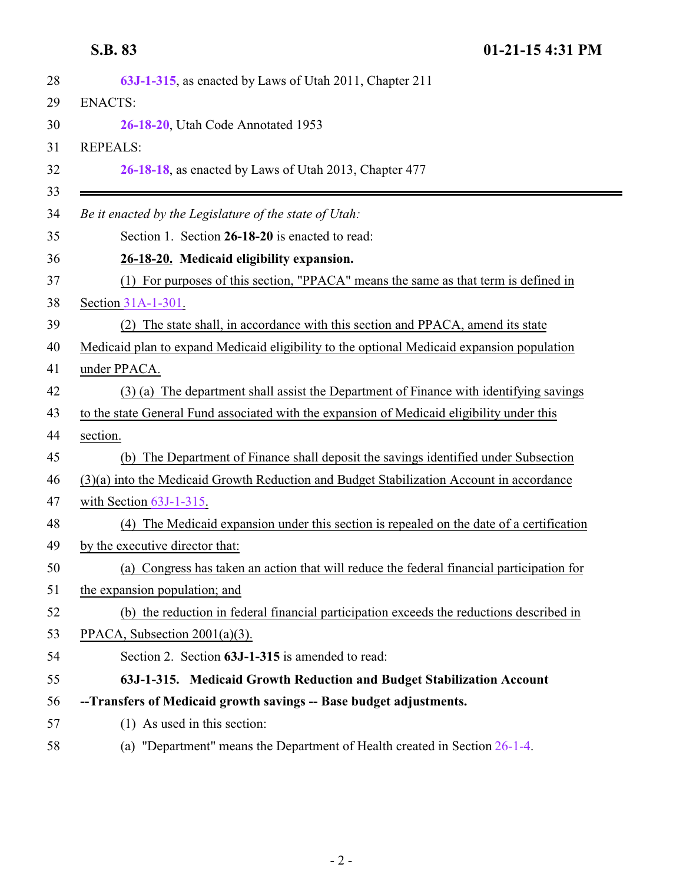<span id="page-1-1"></span>**S.B. 83 01-21-15 4:31 PM**

<span id="page-1-0"></span>

| 28       | 63J-1-315, as enacted by Laws of Utah 2011, Chapter 211                                     |
|----------|---------------------------------------------------------------------------------------------|
| 29       | <b>ENACTS:</b>                                                                              |
| 30       | 26-18-20, Utah Code Annotated 1953                                                          |
| 31       | <b>REPEALS:</b>                                                                             |
| 32<br>33 | 26-18-18, as enacted by Laws of Utah 2013, Chapter 477                                      |
| 34       | Be it enacted by the Legislature of the state of Utah:                                      |
| 35       | Section 1. Section 26-18-20 is enacted to read:                                             |
| 36       | 26-18-20. Medicaid eligibility expansion.                                                   |
| 37       | (1) For purposes of this section, "PPACA" means the same as that term is defined in         |
| 38       | Section 31A-1-301.                                                                          |
| 39       | (2) The state shall, in accordance with this section and PPACA, amend its state             |
| 40       | Medicaid plan to expand Medicaid eligibility to the optional Medicaid expansion population  |
| 41       | under PPACA.                                                                                |
| 42       | (3) (a) The department shall assist the Department of Finance with identifying savings      |
| 43       | to the state General Fund associated with the expansion of Medicaid eligibility under this  |
| 44       | section.                                                                                    |
| 45       | (b) The Department of Finance shall deposit the savings identified under Subsection         |
| 46       | (3)(a) into the Medicaid Growth Reduction and Budget Stabilization Account in accordance    |
| 47       | with Section $63J-1-315$ .                                                                  |
| 48       | The Medicaid expansion under this section is repealed on the date of a certification<br>(4) |
| 49       | by the executive director that:                                                             |
| 50       | (a) Congress has taken an action that will reduce the federal financial participation for   |
| 51       | the expansion population; and                                                               |
| 52       | (b) the reduction in federal financial participation exceeds the reductions described in    |
| 53       | PPACA, Subsection $2001(a)(3)$ .                                                            |
| 54       | Section 2. Section 63J-1-315 is amended to read:                                            |
| 55       | 63J-1-315. Medicaid Growth Reduction and Budget Stabilization Account                       |
| 56       | --Transfers of Medicaid growth savings -- Base budget adjustments.                          |
| 57       | (1) As used in this section:                                                                |
| 58       | (a) "Department" means the Department of Health created in Section 26-1-4.                  |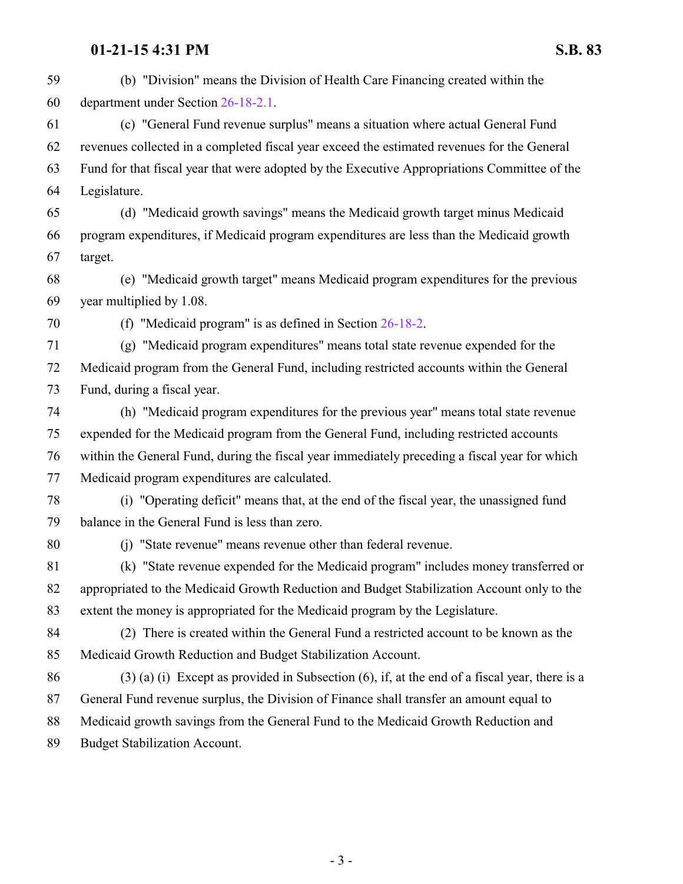### **01-21-15 4:31 PM S.B. 83**

 (b) "Division" means the Division of Health Care Financing created within the department under Section [26-18-2.1](http://le.utah.gov/UtahCode/SectionLookup.jsp?section=26-18-2.1&session=2015GS). (c) "General Fund revenue surplus" means a situation where actual General Fund revenues collected in a completed fiscal year exceed the estimated revenues for the General Fund for that fiscal year that were adopted by the Executive Appropriations Committee of the Legislature. (d) "Medicaid growth savings" means the Medicaid growth target minus Medicaid program expenditures, if Medicaid program expenditures are less than the Medicaid growth target. (e) "Medicaid growth target" means Medicaid program expenditures for the previous year multiplied by 1.08. (f) "Medicaid program" is as defined in Section [26-18-2](http://le.utah.gov/UtahCode/SectionLookup.jsp?section=26-18-2&session=2015GS). (g) "Medicaid program expenditures" means total state revenue expended for the Medicaid program from the General Fund, including restricted accounts within the General Fund, during a fiscal year. (h) "Medicaid program expenditures for the previous year" means total state revenue expended for the Medicaid program from the General Fund, including restricted accounts within the General Fund, during the fiscal year immediately preceding a fiscal year for which Medicaid program expenditures are calculated. (i) "Operating deficit" means that, at the end of the fiscal year, the unassigned fund balance in the General Fund is less than zero. (j) "State revenue" means revenue other than federal revenue. (k) "State revenue expended for the Medicaid program" includes money transferred or appropriated to the Medicaid Growth Reduction and Budget Stabilization Account only to the extent the money is appropriated for the Medicaid program by the Legislature. (2) There is created within the General Fund a restricted account to be known as the Medicaid Growth Reduction and Budget Stabilization Account. 86 (3) (a) (i) Except as provided in Subsection  $(6)$ , if, at the end of a fiscal year, there is a General Fund revenue surplus, the Division of Finance shall transfer an amount equal to Medicaid growth savings from the General Fund to the Medicaid Growth Reduction and Budget Stabilization Account.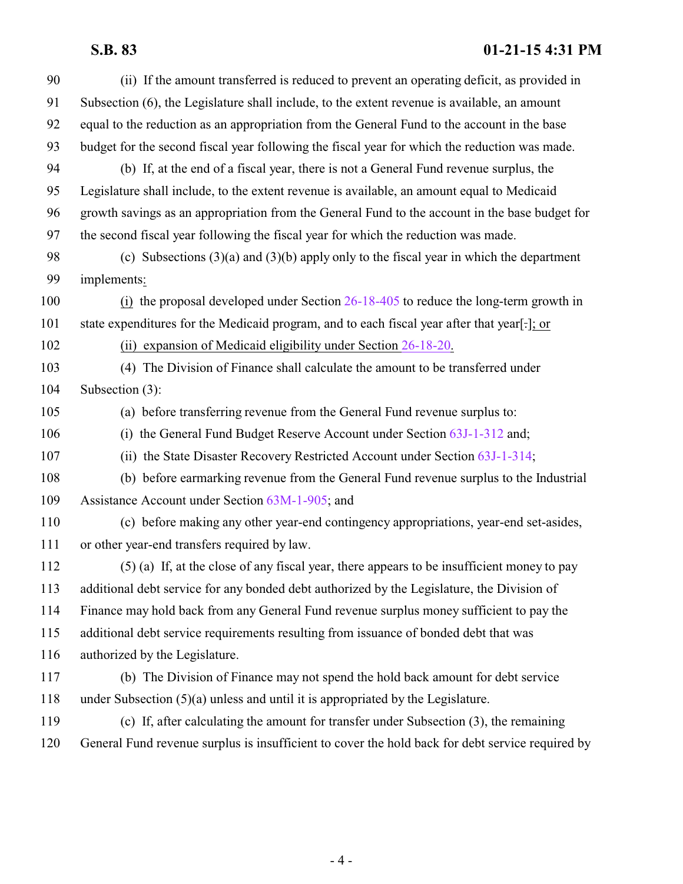# **S.B. 83 01-21-15 4:31 PM**

| 90  | (ii) If the amount transferred is reduced to prevent an operating deficit, as provided in        |
|-----|--------------------------------------------------------------------------------------------------|
| 91  | Subsection (6), the Legislature shall include, to the extent revenue is available, an amount     |
| 92  | equal to the reduction as an appropriation from the General Fund to the account in the base      |
| 93  | budget for the second fiscal year following the fiscal year for which the reduction was made.    |
| 94  | (b) If, at the end of a fiscal year, there is not a General Fund revenue surplus, the            |
| 95  | Legislature shall include, to the extent revenue is available, an amount equal to Medicaid       |
| 96  | growth savings as an appropriation from the General Fund to the account in the base budget for   |
| 97  | the second fiscal year following the fiscal year for which the reduction was made.               |
| 98  | (c) Subsections $(3)(a)$ and $(3)(b)$ apply only to the fiscal year in which the department      |
| 99  | implements:                                                                                      |
| 100 | (i) the proposal developed under Section $26-18-405$ to reduce the long-term growth in           |
| 101 | state expenditures for the Medicaid program, and to each fiscal year after that year[-]; or      |
| 102 | (ii) expansion of Medicaid eligibility under Section $26-18-20$ .                                |
| 103 | (4) The Division of Finance shall calculate the amount to be transferred under                   |
| 104 | Subsection (3):                                                                                  |
| 105 | (a) before transferring revenue from the General Fund revenue surplus to:                        |
| 106 | (i) the General Fund Budget Reserve Account under Section 63J-1-312 and;                         |
| 107 | (ii) the State Disaster Recovery Restricted Account under Section 63J-1-314;                     |
| 108 | (b) before earmarking revenue from the General Fund revenue surplus to the Industrial            |
| 109 | Assistance Account under Section 63M-1-905; and                                                  |
| 110 | (c) before making any other year-end contingency appropriations, year-end set-asides,            |
| 111 | or other year-end transfers required by law.                                                     |
| 112 | (5) (a) If, at the close of any fiscal year, there appears to be insufficient money to pay       |
| 113 | additional debt service for any bonded debt authorized by the Legislature, the Division of       |
| 114 | Finance may hold back from any General Fund revenue surplus money sufficient to pay the          |
| 115 | additional debt service requirements resulting from issuance of bonded debt that was             |
| 116 | authorized by the Legislature.                                                                   |
| 117 | (b) The Division of Finance may not spend the hold back amount for debt service                  |
| 118 | under Subsection $(5)(a)$ unless and until it is appropriated by the Legislature.                |
| 119 | (c) If, after calculating the amount for transfer under Subsection (3), the remaining            |
| 120 | General Fund revenue surplus is insufficient to cover the hold back for debt service required by |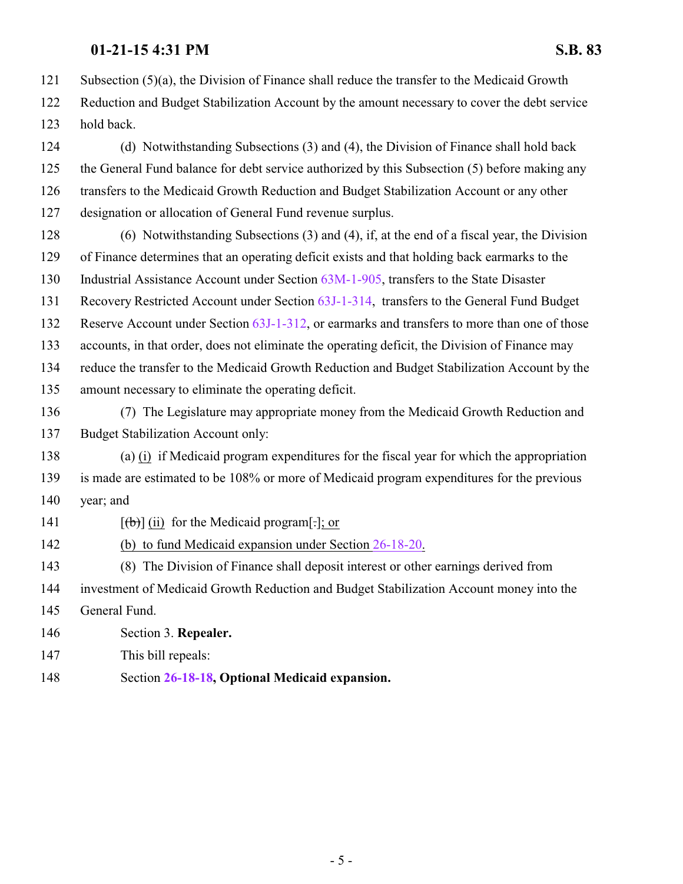## **01-21-15 4:31 PM S.B. 83**

Subsection (5)(a), the Division of Finance shall reduce the transfer to the Medicaid Growth

 Reduction and Budget Stabilization Account by the amount necessary to cover the debt service hold back.

 (d) Notwithstanding Subsections (3) and (4), the Division of Finance shall hold back the General Fund balance for debt service authorized by this Subsection (5) before making any transfers to the Medicaid Growth Reduction and Budget Stabilization Account or any other designation or allocation of General Fund revenue surplus.

 (6) Notwithstanding Subsections (3) and (4), if, at the end of a fiscal year, the Division of Finance determines that an operating deficit exists and that holding back earmarks to the Industrial Assistance Account under Section [63M-1-905](http://le.utah.gov/UtahCode/SectionLookup.jsp?section=63m-1-905&session=2015GS), transfers to the State Disaster Recovery Restricted Account under Section [63J-1-314](http://le.utah.gov/UtahCode/SectionLookup.jsp?section=63j-1-314&session=2015GS), transfers to the General Fund Budget 132 Reserve Account under Section [63J-1-312](http://le.utah.gov/UtahCode/SectionLookup.jsp?section=63j-1-312&session=2015GS), or earmarks and transfers to more than one of those accounts, in that order, does not eliminate the operating deficit, the Division of Finance may reduce the transfer to the Medicaid Growth Reduction and Budget Stabilization Account by the amount necessary to eliminate the operating deficit.

 (7) The Legislature may appropriate money from the Medicaid Growth Reduction and Budget Stabilization Account only:

 (a) (i) if Medicaid program expenditures for the fiscal year for which the appropriation is made are estimated to be 108% or more of Medicaid program expenditures for the previous year; and

141  $[(\theta)]$  (ii) for the Medicaid program[-]; or

(b) to fund Medicaid expansion under Section [26-18-20](#page-1-1).

 (8) The Division of Finance shall deposit interest or other earnings derived from investment of Medicaid Growth Reduction and Budget Stabilization Account money into the General Fund.

Section 3. **Repealer.**

This bill repeals:

Section **[26-18-18](http://le.utah.gov/UtahCode/SectionLookup.jsp?section=26-18-18&session=2015GS), Optional Medicaid expansion.**